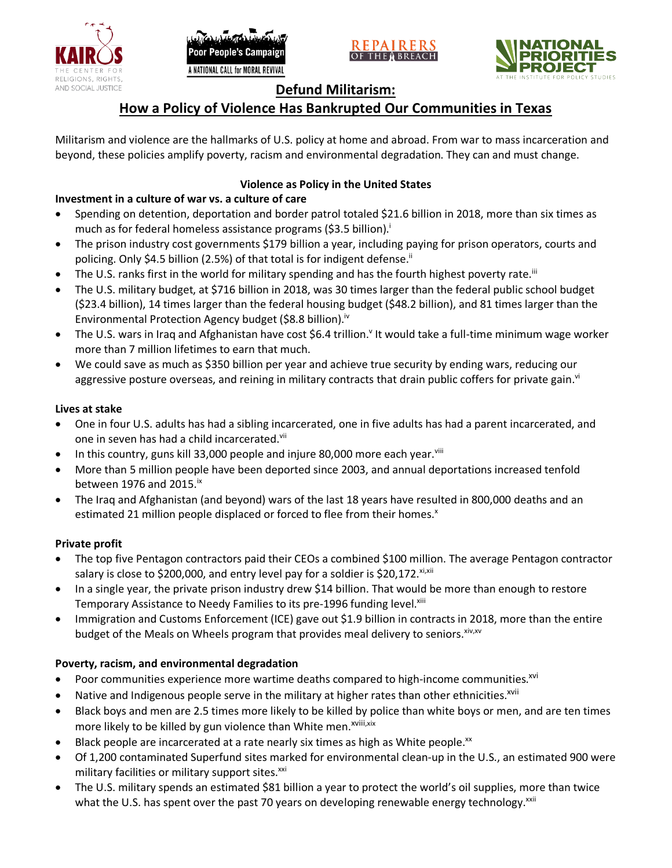





# **Defund Militarism:**

# **How a Policy of Violence Has Bankrupted Our Communities in Texas**

Militarism and violence are the hallmarks of U.S. policy at home and abroad. From war to mass incarceration and beyond, these policies amplify poverty, racism and environmental degradation. They can and must change.

## **Violence as Policy in the United States**

# **Investment in a culture of war vs. a culture of care**

- Spending on detention, deportation and border patrol totaled \$21.6 billion in 2018, more than six times as much as for federal homeless assistance programs (\$3.5 billion).<sup>i</sup>
- The prison industry cost governments \$179 billion a year, including paying for prison operators, courts and policing. Only \$4.5 billion (2.5%) of that total is for indigent defense.<sup>ii</sup>
- The U.S. ranks first in the world for military spending and has the fourth highest poverty rate.<sup>iii</sup>
- The U.S. military budget, at \$716 billion in 2018, was 30 times larger than the federal public school budget (\$23.4 billion), 14 times larger than the federal housing budget (\$48.2 billion), and 81 times larger than the Environmental Protection Agency budget (\$8.8 billion).<sup>iv</sup>
- The U.S. wars in Iraq and Afghanistan have cost \$6.4 trillion.<sup>v</sup> It would take a full-time minimum wage worker more than 7 million lifetimes to earn that much.
- We could save as much as \$350 billion per year and achieve true security by ending wars, reducing our aggressive posture overseas, and reining in military contracts that drain public coffers for private gain.<sup>vi</sup>

### **Lives at stake**

- One in four U.S. adults has had a sibling incarcerated, one in five adults has had a parent incarcerated, and one in seven has had a child incarcerated.vii
- In this country, guns kill 33,000 people and injure 80,000 more each year. $v_{\text{lin}}$
- More than 5 million people have been deported since 2003, and annual deportations increased tenfold between 1976 and 2015. $\mathrm{i}$ <sup>x</sup>
- The Iraq and Afghanistan (and beyond) wars of the last 18 years have resulted in 800,000 deaths and an estimated 21 million people displaced or forced to flee from their homes.<sup>x</sup>

#### **Private profit**

- The top five Pentagon contractors paid their CEOs a combined \$100 million. The average Pentagon contractor salary is close to \$200,000, and entry level pay for a soldier is \$20,172. xi,xii
- In a single year, the private prison industry drew \$14 billion. That would be more than enough to restore Temporary Assistance to Needy Families to its pre-1996 funding level.<sup>xiii</sup>
- Immigration and Customs Enforcement (ICE) gave out \$1.9 billion in contracts in 2018, more than the entire budget of the Meals on Wheels program that provides meal delivery to seniors. Xiv, XV

## **Poverty, racism, and environmental degradation**

- Poor communities experience more wartime deaths compared to high-income communities.<sup>xvi</sup>
- Native and Indigenous people serve in the military at higher rates than other ethnicities.<sup>xvii</sup>
- Black boys and men are 2.5 times more likely to be killed by police than white boys or men, and are ten times more likely to be killed by gun violence than White men.<sup>xviii,xix</sup>
- Black people are incarcerated at a rate nearly six times as high as White people.<sup>xx</sup>
- Of 1,200 contaminated Superfund sites marked for environmental clean-up in the U.S., an estimated 900 were military facilities or military support sites.<sup>xxi</sup>
- The U.S. military spends an estimated \$81 billion a year to protect the world's oil supplies, more than twice what the U.S. has spent over the past 70 years on developing renewable energy technology.<sup>xxii</sup>